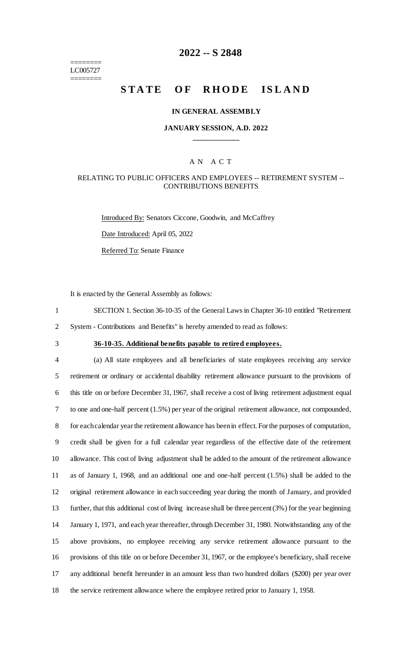======== LC005727 ========

# **2022 -- S 2848**

# **STATE OF RHODE ISLAND**

#### **IN GENERAL ASSEMBLY**

### **JANUARY SESSION, A.D. 2022 \_\_\_\_\_\_\_\_\_\_\_\_**

### A N A C T

### RELATING TO PUBLIC OFFICERS AND EMPLOYEES -- RETIREMENT SYSTEM -- CONTRIBUTIONS BENEFITS

Introduced By: Senators Ciccone, Goodwin, and McCaffrey Date Introduced: April 05, 2022 Referred To: Senate Finance

It is enacted by the General Assembly as follows:

1 SECTION 1. Section 36-10-35 of the General Laws in Chapter 36-10 entitled "Retirement

2 System - Contributions and Benefits" is hereby amended to read as follows:

# 3 **36-10-35. Additional benefits payable to retired employees.**

 (a) All state employees and all beneficiaries of state employees receiving any service retirement or ordinary or accidental disability retirement allowance pursuant to the provisions of this title on or before December 31, 1967, shall receive a cost of living retirement adjustment equal to one and one-half percent (1.5%) per year of the original retirement allowance, not compounded, for each calendar year the retirement allowance has been in effect. For the purposes of computation, credit shall be given for a full calendar year regardless of the effective date of the retirement allowance. This cost of living adjustment shall be added to the amount of the retirement allowance as of January 1, 1968, and an additional one and one-half percent (1.5%) shall be added to the original retirement allowance in each succeeding year during the month of January, and provided further, that this additional cost of living increase shall be three percent (3%) for the year beginning January 1, 1971, and each year thereafter, through December 31, 1980. Notwithstanding any of the above provisions, no employee receiving any service retirement allowance pursuant to the provisions of this title on or before December 31, 1967, or the employee's beneficiary, shall receive any additional benefit hereunder in an amount less than two hundred dollars (\$200) per year over the service retirement allowance where the employee retired prior to January 1, 1958.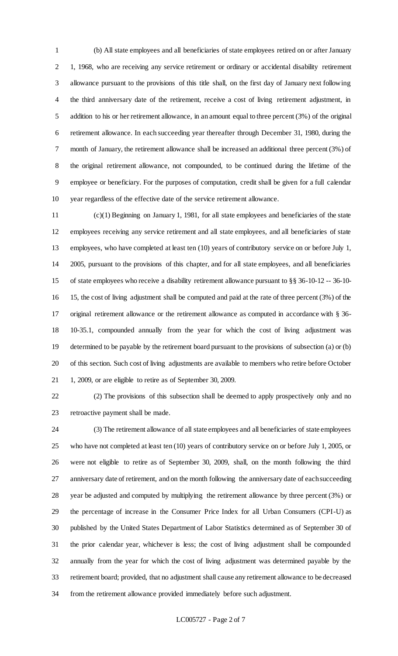(b) All state employees and all beneficiaries of state employees retired on or after January 1, 1968, who are receiving any service retirement or ordinary or accidental disability retirement allowance pursuant to the provisions of this title shall, on the first day of January next following the third anniversary date of the retirement, receive a cost of living retirement adjustment, in addition to his or her retirement allowance, in an amount equal to three percent (3%) of the original retirement allowance. In each succeeding year thereafter through December 31, 1980, during the month of January, the retirement allowance shall be increased an additional three percent (3%) of the original retirement allowance, not compounded, to be continued during the lifetime of the employee or beneficiary. For the purposes of computation, credit shall be given for a full calendar year regardless of the effective date of the service retirement allowance.

 (c)(1) Beginning on January 1, 1981, for all state employees and beneficiaries of the state employees receiving any service retirement and all state employees, and all beneficiaries of state employees, who have completed at least ten (10) years of contributory service on or before July 1, 2005, pursuant to the provisions of this chapter, and for all state employees, and all beneficiaries of state employees who receive a disability retirement allowance pursuant to §§ 36-10-12 -- 36-10- 15, the cost of living adjustment shall be computed and paid at the rate of three percent (3%) of the original retirement allowance or the retirement allowance as computed in accordance with § 36- 10-35.1, compounded annually from the year for which the cost of living adjustment was determined to be payable by the retirement board pursuant to the provisions of subsection (a) or (b) of this section. Such cost of living adjustments are available to members who retire before October 1, 2009, or are eligible to retire as of September 30, 2009.

 (2) The provisions of this subsection shall be deemed to apply prospectively only and no retroactive payment shall be made.

 (3) The retirement allowance of all state employees and all beneficiaries of state employees who have not completed at least ten (10) years of contributory service on or before July 1, 2005, or were not eligible to retire as of September 30, 2009, shall, on the month following the third anniversary date of retirement, and on the month following the anniversary date of each succeeding year be adjusted and computed by multiplying the retirement allowance by three percent (3%) or the percentage of increase in the Consumer Price Index for all Urban Consumers (CPI-U) as published by the United States Department of Labor Statistics determined as of September 30 of the prior calendar year, whichever is less; the cost of living adjustment shall be compounded annually from the year for which the cost of living adjustment was determined payable by the retirement board; provided, that no adjustment shall cause any retirement allowance to be decreased from the retirement allowance provided immediately before such adjustment.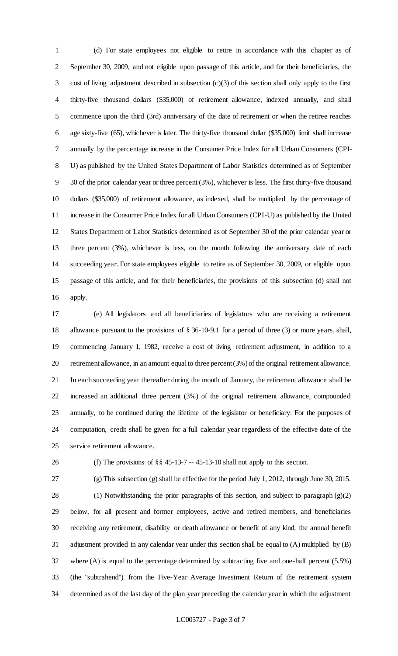(d) For state employees not eligible to retire in accordance with this chapter as of September 30, 2009, and not eligible upon passage of this article, and for their beneficiaries, the cost of living adjustment described in subsection (c)(3) of this section shall only apply to the first thirty-five thousand dollars (\$35,000) of retirement allowance, indexed annually, and shall commence upon the third (3rd) anniversary of the date of retirement or when the retiree reaches age sixty-five (65), whichever is later. The thirty-five thousand dollar (\$35,000) limit shall increase annually by the percentage increase in the Consumer Price Index for all Urban Consumers (CPI- U) as published by the United States Department of Labor Statistics determined as of September 30 of the prior calendar year or three percent (3%), whichever is less. The first thirty-five thousand dollars (\$35,000) of retirement allowance, as indexed, shall be multiplied by the percentage of increase in the Consumer Price Index for all Urban Consumers (CPI-U) as published by the United States Department of Labor Statistics determined as of September 30 of the prior calendar year or three percent (3%), whichever is less, on the month following the anniversary date of each succeeding year. For state employees eligible to retire as of September 30, 2009, or eligible upon passage of this article, and for their beneficiaries, the provisions of this subsection (d) shall not apply.

 (e) All legislators and all beneficiaries of legislators who are receiving a retirement allowance pursuant to the provisions of § 36-10-9.1 for a period of three (3) or more years, shall, commencing January 1, 1982, receive a cost of living retirement adjustment, in addition to a retirement allowance, in an amount equal to three percent (3%) of the original retirement allowance. In each succeeding year thereafter during the month of January, the retirement allowance shall be increased an additional three percent (3%) of the original retirement allowance, compounded annually, to be continued during the lifetime of the legislator or beneficiary. For the purposes of computation, credit shall be given for a full calendar year regardless of the effective date of the service retirement allowance.

(f) The provisions of §§ 45-13-7 -- 45-13-10 shall not apply to this section.

 (g) This subsection (g) shall be effective for the period July 1, 2012, through June 30, 2015. (1) Notwithstanding the prior paragraphs of this section, and subject to paragraph (g)(2) below, for all present and former employees, active and retired members, and beneficiaries receiving any retirement, disability or death allowance or benefit of any kind, the annual benefit adjustment provided in any calendar year under this section shall be equal to (A) multiplied by (B) where (A) is equal to the percentage determined by subtracting five and one-half percent (5.5%) (the "subtrahend") from the Five-Year Average Investment Return of the retirement system determined as of the last day of the plan year preceding the calendar year in which the adjustment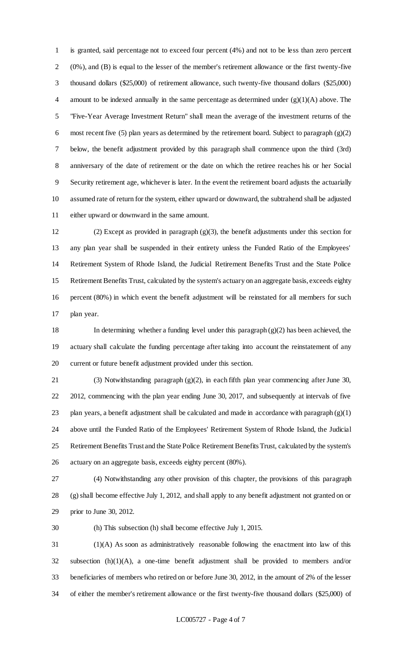is granted, said percentage not to exceed four percent (4%) and not to be less than zero percent (0%), and (B) is equal to the lesser of the member's retirement allowance or the first twenty-five thousand dollars (\$25,000) of retirement allowance, such twenty-five thousand dollars (\$25,000) amount to be indexed annually in the same percentage as determined under (g)(1)(A) above. The "Five-Year Average Investment Return" shall mean the average of the investment returns of the most recent five (5) plan years as determined by the retirement board. Subject to paragraph (g)(2) below, the benefit adjustment provided by this paragraph shall commence upon the third (3rd) anniversary of the date of retirement or the date on which the retiree reaches his or her Social Security retirement age, whichever is later. In the event the retirement board adjusts the actuarially assumed rate of return for the system, either upward or downward, the subtrahend shall be adjusted either upward or downward in the same amount.

 (2) Except as provided in paragraph (g)(3), the benefit adjustments under this section for any plan year shall be suspended in their entirety unless the Funded Ratio of the Employees' Retirement System of Rhode Island, the Judicial Retirement Benefits Trust and the State Police Retirement Benefits Trust, calculated by the system's actuary on an aggregate basis, exceeds eighty percent (80%) in which event the benefit adjustment will be reinstated for all members for such plan year.

 In determining whether a funding level under this paragraph (g)(2) has been achieved, the actuary shall calculate the funding percentage after taking into account the reinstatement of any current or future benefit adjustment provided under this section.

 (3) Notwithstanding paragraph (g)(2), in each fifth plan year commencing after June 30, 2012, commencing with the plan year ending June 30, 2017, and subsequently at intervals of five 23 plan years, a benefit adjustment shall be calculated and made in accordance with paragraph  $(g)(1)$  above until the Funded Ratio of the Employees' Retirement System of Rhode Island, the Judicial Retirement Benefits Trust and the State Police Retirement Benefits Trust, calculated by the system's actuary on an aggregate basis, exceeds eighty percent (80%).

 (4) Notwithstanding any other provision of this chapter, the provisions of this paragraph (g) shall become effective July 1, 2012, and shall apply to any benefit adjustment not granted on or prior to June 30, 2012.

(h) This subsection (h) shall become effective July 1, 2015.

 (1)(A) As soon as administratively reasonable following the enactment into law of this subsection (h)(1)(A), a one-time benefit adjustment shall be provided to members and/or beneficiaries of members who retired on or before June 30, 2012, in the amount of 2% of the lesser of either the member's retirement allowance or the first twenty-five thousand dollars (\$25,000) of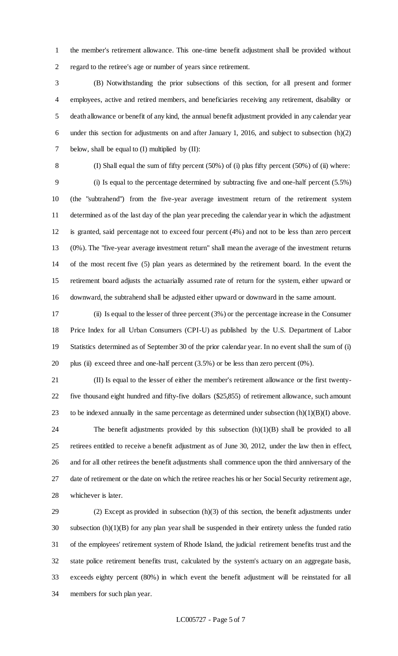the member's retirement allowance. This one-time benefit adjustment shall be provided without regard to the retiree's age or number of years since retirement.

 (B) Notwithstanding the prior subsections of this section, for all present and former employees, active and retired members, and beneficiaries receiving any retirement, disability or death allowance or benefit of any kind, the annual benefit adjustment provided in any calendar year under this section for adjustments on and after January 1, 2016, and subject to subsection (h)(2) 7 below, shall be equal to (I) multiplied by (II):

 (I) Shall equal the sum of fifty percent (50%) of (i) plus fifty percent (50%) of (ii) where: (i) Is equal to the percentage determined by subtracting five and one-half percent (5.5%) (the "subtrahend") from the five-year average investment return of the retirement system determined as of the last day of the plan year preceding the calendar year in which the adjustment is granted, said percentage not to exceed four percent (4%) and not to be less than zero percent (0%). The "five-year average investment return" shall mean the average of the investment returns of the most recent five (5) plan years as determined by the retirement board. In the event the retirement board adjusts the actuarially assumed rate of return for the system, either upward or downward, the subtrahend shall be adjusted either upward or downward in the same amount.

 (ii) Is equal to the lesser of three percent (3%) or the percentage increase in the Consumer Price Index for all Urban Consumers (CPI-U) as published by the U.S. Department of Labor Statistics determined as of September 30 of the prior calendar year. In no event shall the sum of (i) plus (ii) exceed three and one-half percent (3.5%) or be less than zero percent (0%).

 (II) Is equal to the lesser of either the member's retirement allowance or the first twenty- five thousand eight hundred and fifty-five dollars (\$25,855) of retirement allowance, such amount 23 to be indexed annually in the same percentage as determined under subsection  $(h)(1)(B)(I)$  above. The benefit adjustments provided by this subsection (h)(1)(B) shall be provided to all retirees entitled to receive a benefit adjustment as of June 30, 2012, under the law then in effect, and for all other retirees the benefit adjustments shall commence upon the third anniversary of the

 date of retirement or the date on which the retiree reaches his or her Social Security retirement age, whichever is later.

 (2) Except as provided in subsection (h)(3) of this section, the benefit adjustments under subsection (h)(1)(B) for any plan year shall be suspended in their entirety unless the funded ratio of the employees' retirement system of Rhode Island, the judicial retirement benefits trust and the state police retirement benefits trust, calculated by the system's actuary on an aggregate basis, exceeds eighty percent (80%) in which event the benefit adjustment will be reinstated for all members for such plan year.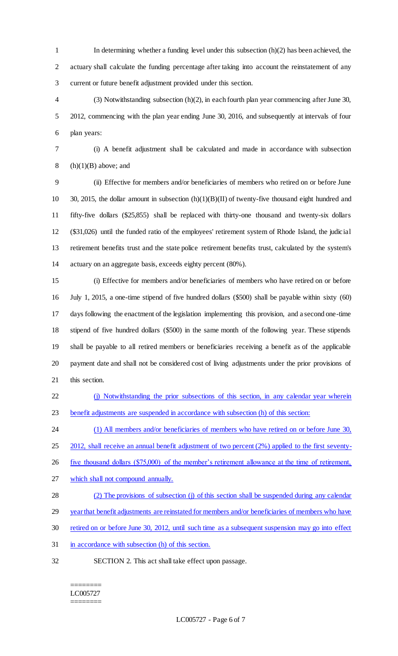In determining whether a funding level under this subsection (h)(2) has been achieved, the actuary shall calculate the funding percentage after taking into account the reinstatement of any current or future benefit adjustment provided under this section.

 (3) Notwithstanding subsection (h)(2), in each fourth plan year commencing after June 30, 2012, commencing with the plan year ending June 30, 2016, and subsequently at intervals of four plan years:

(i) A benefit adjustment shall be calculated and made in accordance with subsection

8 (h) $(1)(B)$  above; and

 (ii) Effective for members and/or beneficiaries of members who retired on or before June 30, 2015, the dollar amount in subsection (h)(1)(B)(II) of twenty-five thousand eight hundred and fifty-five dollars (\$25,855) shall be replaced with thirty-one thousand and twenty-six dollars (\$31,026) until the funded ratio of the employees' retirement system of Rhode Island, the judicial retirement benefits trust and the state police retirement benefits trust, calculated by the system's actuary on an aggregate basis, exceeds eighty percent (80%).

 (i) Effective for members and/or beneficiaries of members who have retired on or before July 1, 2015, a one-time stipend of five hundred dollars (\$500) shall be payable within sixty (60) days following the enactment of the legislation implementing this provision, and a second one-time stipend of five hundred dollars (\$500) in the same month of the following year. These stipends shall be payable to all retired members or beneficiaries receiving a benefit as of the applicable payment date and shall not be considered cost of living adjustments under the prior provisions of this section.

 (j) Notwithstanding the prior subsections of this section, in any calendar year wherein benefit adjustments are suspended in accordance with subsection (h) of this section:

24 (1) All members and/or beneficiaries of members who have retired on or before June 30,

25 2012, shall receive an annual benefit adjustment of two percent (2%) applied to the first seventy-

26 five thousand dollars (\$75,000) of the member's retirement allowance at the time of retirement,

- which shall not compound annually.
- 28 (2) The provisions of subsection (j) of this section shall be suspended during any calendar

29 year that benefit adjustments are reinstated for members and/or beneficiaries of members who have

- retired on or before June 30, 2012, until such time as a subsequent suspension may go into effect
- in accordance with subsection (h) of this section.
- 
- SECTION 2. This act shall take effect upon passage.

#### ======== LC005727 ========